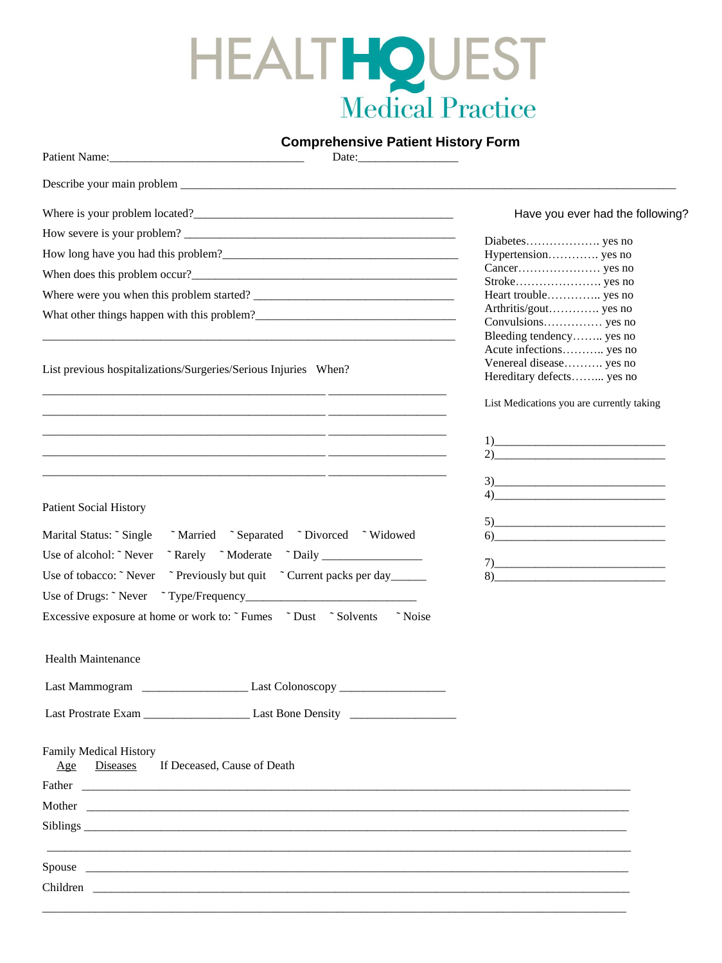# HEALTHOUEST

# **Comprehensive Patient History Form**

| Patient Name: Name:                                                                                                                                                                                                                  |                                                                                                                                                                                                                                                                                                                                                                                                                                                                                                                                                                                       |
|--------------------------------------------------------------------------------------------------------------------------------------------------------------------------------------------------------------------------------------|---------------------------------------------------------------------------------------------------------------------------------------------------------------------------------------------------------------------------------------------------------------------------------------------------------------------------------------------------------------------------------------------------------------------------------------------------------------------------------------------------------------------------------------------------------------------------------------|
|                                                                                                                                                                                                                                      |                                                                                                                                                                                                                                                                                                                                                                                                                                                                                                                                                                                       |
|                                                                                                                                                                                                                                      | Have you ever had the following?                                                                                                                                                                                                                                                                                                                                                                                                                                                                                                                                                      |
| How severe is your problem?                                                                                                                                                                                                          |                                                                                                                                                                                                                                                                                                                                                                                                                                                                                                                                                                                       |
|                                                                                                                                                                                                                                      | Hypertension yes no                                                                                                                                                                                                                                                                                                                                                                                                                                                                                                                                                                   |
|                                                                                                                                                                                                                                      |                                                                                                                                                                                                                                                                                                                                                                                                                                                                                                                                                                                       |
|                                                                                                                                                                                                                                      | Heart trouble yes no                                                                                                                                                                                                                                                                                                                                                                                                                                                                                                                                                                  |
|                                                                                                                                                                                                                                      | Arthritis/gout yes no<br>Bleeding tendency yes no                                                                                                                                                                                                                                                                                                                                                                                                                                                                                                                                     |
| List previous hospitalizations/Surgeries/Serious Injuries When?<br><u> 1980 - Jan Samuel Barbara, margaret eta biztanleria (h. 1982).</u>                                                                                            | Acute infections yes no<br>Venereal disease yes no<br>Hereditary defects yes no                                                                                                                                                                                                                                                                                                                                                                                                                                                                                                       |
|                                                                                                                                                                                                                                      | List Medications you are currently taking                                                                                                                                                                                                                                                                                                                                                                                                                                                                                                                                             |
|                                                                                                                                                                                                                                      | $\boxed{1}$<br>$2)$ and $2)$                                                                                                                                                                                                                                                                                                                                                                                                                                                                                                                                                          |
|                                                                                                                                                                                                                                      | $3)$ and $\overline{\phantom{a}3}$                                                                                                                                                                                                                                                                                                                                                                                                                                                                                                                                                    |
| <b>Patient Social History</b>                                                                                                                                                                                                        |                                                                                                                                                                                                                                                                                                                                                                                                                                                                                                                                                                                       |
| "Married "Separated "Divorced "Widowed"<br>Marital Status: "Single"                                                                                                                                                                  | $5)$ and $\overline{\phantom{a}1}$<br>$\begin{array}{c c} \text{6)} & \text{ } \end{array}$                                                                                                                                                                                                                                                                                                                                                                                                                                                                                           |
| Use of alcohol: "Never<br>"Rarely "Moderate "Daily                                                                                                                                                                                   |                                                                                                                                                                                                                                                                                                                                                                                                                                                                                                                                                                                       |
| ~ Previously but quit ~ Current packs per day<br>Use of tobacco: "Never                                                                                                                                                              | $\begin{tabular}{c} $7$ & \hspace{1.5cm} \includegraphics[width=0.35\textwidth]{figs/1000000.pdf} \end{tabular}$<br>$8) \begin{tabular}{c} \multicolumn{2}{c} {\textbf{0.1}} & \multicolumn{2}{c} {\textbf{0.1}} & \multicolumn{2}{c} {\textbf{0.1}} & \multicolumn{2}{c} {\textbf{0.1}} \\ \multicolumn{2}{c} {\textbf{0.1}} & \multicolumn{2}{c} {\textbf{0.1}} & \multicolumn{2}{c} {\textbf{0.1}} & \multicolumn{2}{c} {\textbf{0.1}} \\ \multicolumn{2}{c} {\textbf{0.1}} & \multicolumn{2}{c} {\textbf{0.1}} & \multicolumn{2}{c} {\textbf{0.1}} & \multicolumn{2}{c} {\textbf$ |
|                                                                                                                                                                                                                                      |                                                                                                                                                                                                                                                                                                                                                                                                                                                                                                                                                                                       |
| Excessive exposure at home or work to: "Fumes "Dust "Solvents"<br>~ Noise                                                                                                                                                            |                                                                                                                                                                                                                                                                                                                                                                                                                                                                                                                                                                                       |
| Health Maintenance                                                                                                                                                                                                                   |                                                                                                                                                                                                                                                                                                                                                                                                                                                                                                                                                                                       |
|                                                                                                                                                                                                                                      |                                                                                                                                                                                                                                                                                                                                                                                                                                                                                                                                                                                       |
|                                                                                                                                                                                                                                      |                                                                                                                                                                                                                                                                                                                                                                                                                                                                                                                                                                                       |
| <b>Family Medical History</b><br>If Deceased, Cause of Death<br>Diseases<br>Age                                                                                                                                                      |                                                                                                                                                                                                                                                                                                                                                                                                                                                                                                                                                                                       |
| Father <u>and the contract of the contract of the contract of the contract of the contract of the contract of the contract of the contract of the contract of the contract of the contract of the contract of the contract of th</u> |                                                                                                                                                                                                                                                                                                                                                                                                                                                                                                                                                                                       |
|                                                                                                                                                                                                                                      |                                                                                                                                                                                                                                                                                                                                                                                                                                                                                                                                                                                       |
|                                                                                                                                                                                                                                      |                                                                                                                                                                                                                                                                                                                                                                                                                                                                                                                                                                                       |
|                                                                                                                                                                                                                                      |                                                                                                                                                                                                                                                                                                                                                                                                                                                                                                                                                                                       |
| Children <b>Children</b>                                                                                                                                                                                                             |                                                                                                                                                                                                                                                                                                                                                                                                                                                                                                                                                                                       |